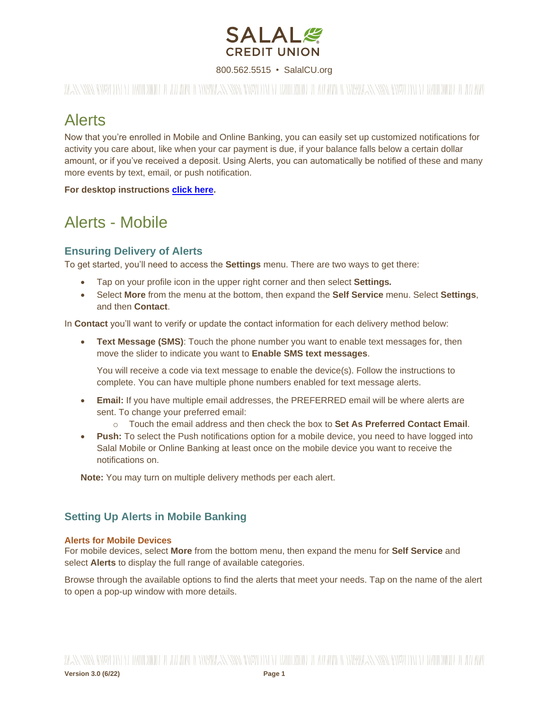

800.562.5515 • SalalCU.org

WASSERMENT ON THE WILL BE THE WILL BE THE WILL ASSERT TO THE WILL BE THE WILL BE STARTED ON THE WILL BE THE WILL

## Alerts

Now that you're enrolled in Mobile and Online Banking, you can easily set up customized notifications for activity you care about, like when your car payment is due, if your balance falls below a certain dollar amount, or if you've received a deposit. Using Alerts, you can automatically be notified of these and many more events by text, email, or push notification.

**For desktop instructions [click here.](#page-3-0)**

## Alerts - Mobile

### **Ensuring Delivery of Alerts**

To get started, you'll need to access the **Settings** menu. There are two ways to get there:

- Tap on your profile icon in the upper right corner and then select **Settings***.*
- Select **More** from the menu at the bottom, then expand the **Self Service** menu. Select **Settings**, and then **Contact**.

In **Contact** you'll want to verify or update the contact information for each delivery method below:

• **Text Message (SMS)**: Touch the phone number you want to enable text messages for, then move the slider to indicate you want to **Enable SMS text messages**.

You will receive a code via text message to enable the device(s). Follow the instructions to complete. You can have multiple phone numbers enabled for text message alerts.

- **Email:** If you have multiple email addresses, the PREFERRED email will be where alerts are sent. To change your preferred email:
	- o Touch the email address and then check the box to **Set As Preferred Contact Email**.
- **Push:** To select the Push notifications option for a mobile device, you need to have logged into Salal Mobile or Online Banking at least once on the mobile device you want to receive the notifications on.

**Note:** You may turn on multiple delivery methods per each alert.

### **Setting Up Alerts in Mobile Banking**

#### **Alerts for Mobile Devices**

For mobile devices, select **More** from the bottom menu, then expand the menu for **Self Service** and select **Alerts** to display the full range of available categories.

Browse through the available options to find the alerts that meet your needs. Tap on the name of the alert to open a pop-up window with more details.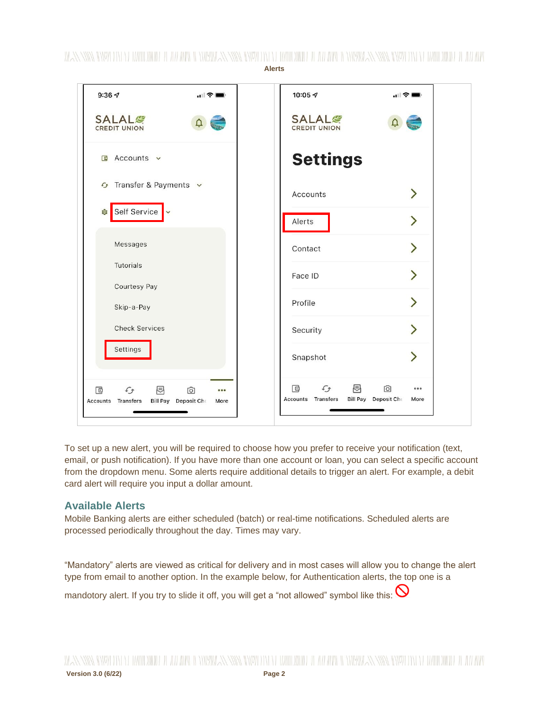

To set up a new alert, you will be required to choose how you prefer to receive your notification (text, email, or push notification). If you have more than one account or loan, you can select a specific account from the dropdown menu. Some alerts require additional details to trigger an alert. For example, a debit card alert will require you input a dollar amount.

#### **Available Alerts**

Mobile Banking alerts are either scheduled (batch) or real-time notifications. Scheduled alerts are processed periodically throughout the day. Times may vary.

"Mandatory" alerts are viewed as critical for delivery and in most cases will allow you to change the alert type from email to another option. In the example below, for Authentication alerts, the top one is a

mandotory alert. If you try to slide it off, you will get a "not allowed" symbol like this:  $\bigcirc$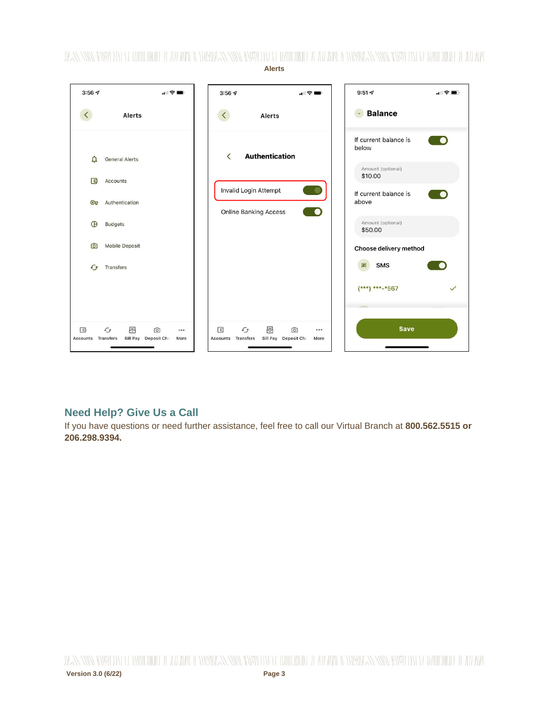

### **Need Help? Give Us a Call**

If you have questions or need further assistance, feel free to call our Virtual Branch at **800.562.5515 or 206.298.9394.**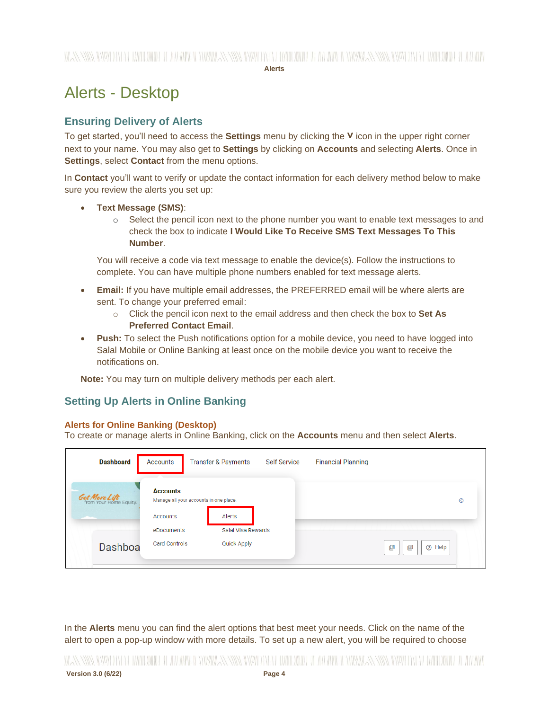## WANNING INVERSION OF HALLOWING IT AN APPORTMENT IN WARD INVERSION OF A LOWER CONTRACTION IN THE MANUTED IN A LOWER OF A LOWER

**Alerts**

# <span id="page-3-0"></span>Alerts - Desktop

### **Ensuring Delivery of Alerts**

To get started, you'll need to access the **Settings** menu by clicking the **˅** icon in the upper right corner next to your name. You may also get to **Settings** by clicking on **Accounts** and selecting **Alerts**. Once in **Settings**, select **Contact** from the menu options.

In **Contact** you'll want to verify or update the contact information for each delivery method below to make sure you review the alerts you set up:

- **Text Message (SMS)**:
	- o Select the pencil icon next to the phone number you want to enable text messages to and check the box to indicate **I Would Like To Receive SMS Text Messages To This Number**.

You will receive a code via text message to enable the device(s). Follow the instructions to complete. You can have multiple phone numbers enabled for text message alerts.

- **Email:** If you have multiple email addresses, the PREFERRED email will be where alerts are sent. To change your preferred email:
	- o Click the pencil icon next to the email address and then check the box to **Set As Preferred Contact Email**.
- **Push:** To select the Push notifications option for a mobile device, you need to have logged into Salal Mobile or Online Banking at least once on the mobile device you want to receive the notifications on.

**Note:** You may turn on multiple delivery methods per each alert.

### **Setting Up Alerts in Online Banking**

#### **Alerts for Online Banking (Desktop)**

To create or manage alerts in Online Banking, click on the **Accounts** menu and then select **Alerts**.

| <b>Dashboard</b>                               | Accounts                                                  | Transfer & Payments | <b>Self Service</b> | <b>Financial Planning</b> |                  |            |
|------------------------------------------------|-----------------------------------------------------------|---------------------|---------------------|---------------------------|------------------|------------|
| <b>Get More Lift</b><br>from Your Home Equity. | <b>Accounts</b><br>Manage all your accounts in one place. |                     |                     |                           |                  | $^{\circ}$ |
|                                                | Accounts                                                  | Alerts              |                     |                           |                  |            |
|                                                | eDocuments                                                | Salal Visa Rewards  |                     |                           |                  |            |
| Dashboa                                        | <b>Card Controls</b>                                      | <b>Quick Apply</b>  |                     |                           | 凹<br>画<br>⊘ Help |            |

In the **Alerts** menu you can find the alert options that best meet your needs. Click on the name of the alert to open a pop-up window with more details. To set up a new alert, you will be required to choose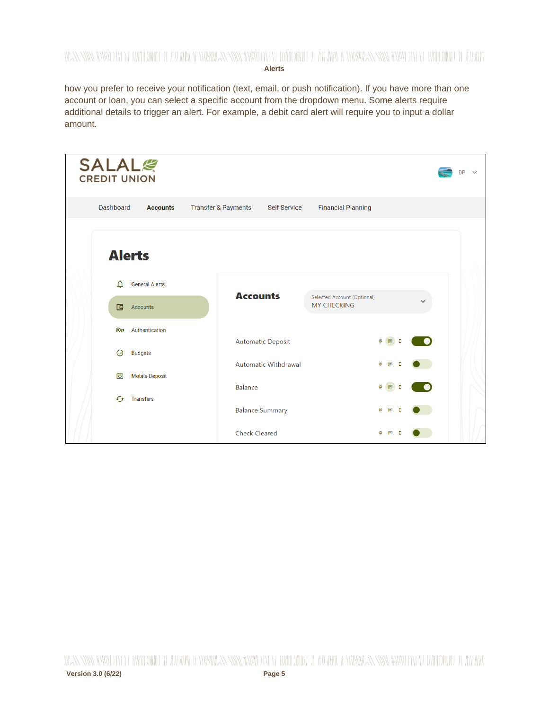## WANNING CHARLEN DI WATER WELL AND THE CHARLEN SENIOR CHARLEN WITH A WATER OF THE WARDER WITH NEW YORK CHARLEN WITH A WARD OF THE WITH

**Alerts**

how you prefer to receive your notification (text, email, or push notification). If you have more than one account or loan, you can select a specific account from the dropdown menu. Some alerts require additional details to trigger an alert. For example, a debit card alert will require you to input a dollar amount.

| <b>SALAL</b><br><b>CREDIT UNION</b>             |                                |                             |                                                          |                                | <b>DP</b> |
|-------------------------------------------------|--------------------------------|-----------------------------|----------------------------------------------------------|--------------------------------|-----------|
| <b>Dashboard</b><br><b>Accounts</b>             | <b>Transfer &amp; Payments</b> | <b>Self Service</b>         | <b>Financial Planning</b>                                |                                |           |
| <b>Alerts</b>                                   |                                |                             |                                                          |                                |           |
| <b>General Alerts</b><br>Δ                      |                                |                             |                                                          |                                |           |
| 回<br>Accounts                                   |                                | <b>Accounts</b>             | <b>Selected Account (Optional)</b><br><b>MY CHECKING</b> |                                |           |
| Authentication<br><b>ෙ</b>                      |                                |                             |                                                          |                                |           |
| ⊕<br><b>Budgets</b>                             |                                | Automatic Deposit           |                                                          | $\circledcirc$<br>回<br>o       |           |
| <b>Mobile Deposit</b><br>ன                      |                                | <b>Automatic Withdrawal</b> |                                                          | $\circledcirc$<br>$\Box$<br>n  |           |
|                                                 | <b>Balance</b>                 |                             |                                                          | $\circledcirc$<br>回            |           |
| $\mathcal{L}_{\mathcal{F}}$<br><b>Transfers</b> |                                | <b>Balance Summary</b>      |                                                          | $\circledcirc$<br>$\Box$       |           |
|                                                 |                                | <b>Check Cleared</b>        |                                                          | $\circ$<br>$\blacksquare$<br>o |           |

WANNING INVESTING THE WILL BE THE WELL AND INVESTIGATION OF THE WILL BE THE WILL BE THROUGH AN NING IN NEW YORK ON WILL BE THE WILL **Version 3.0 (6/22) Page 5**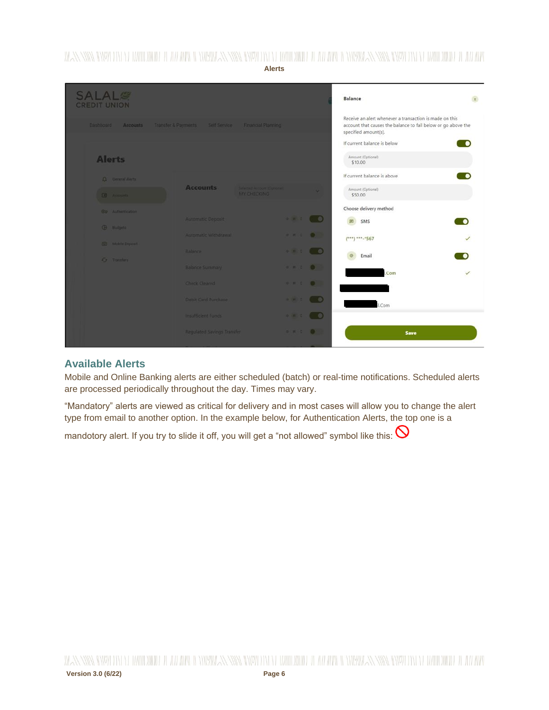WANNING INYO TIN YERHIIDINDE HEAH ARA ILINYA ANNING INYO TIN YERHIIDINDE HEAH ARA-ILINYA ILINYA ANNING INYO TIN YERHIIDINDE HEAH ARA

**Alerts**

| <b>SALAL<sup>®</sup></b><br><b>CREDIT UNION</b> |                                                                    |                                                                                                                                                                                                                                                                                                                                                     | <b>Balance</b>                                                                                                                                   |  |
|-------------------------------------------------|--------------------------------------------------------------------|-----------------------------------------------------------------------------------------------------------------------------------------------------------------------------------------------------------------------------------------------------------------------------------------------------------------------------------------------------|--------------------------------------------------------------------------------------------------------------------------------------------------|--|
| Accounts<br>Dashboard                           | Transfer & Payments Sett Service Financial Planning                |                                                                                                                                                                                                                                                                                                                                                     | Receive an alert whenever a transaction is made on this<br>account that causes the balance to fall below or go above the<br>specified amount(s). |  |
| <b>Alerts</b>                                   |                                                                    |                                                                                                                                                                                                                                                                                                                                                     | If current balance is below<br>Amount (Optional)<br>\$10.00                                                                                      |  |
| <b>Q</b> Deneral Alerta<br><b>TO</b> Accounts   | <b>Accounts</b><br>Selected Account Elements<br><b>NV CHECKING</b> |                                                                                                                                                                                                                                                                                                                                                     | If current balance is above<br>Amount (Optional)<br>\$50.00                                                                                      |  |
| Co Authentication<br><b>G</b> Budgets           | Automatic Deposit                                                  | $-1 - 1 - 1 - 0$                                                                                                                                                                                                                                                                                                                                    | Choose delivery method<br>SMS<br>丽                                                                                                               |  |
| [6] Mobile Deposit<br><b>Cy</b> Transfers       | Automatic Withdrawal<br>Balance                                    | $\begin{array}{ccccccccc}\n\mathbf{1} & \mathbf{2} & \mathbf{3} & \mathbf{4} & \mathbf{5} & \mathbf{6}\n\end{array}$<br>$-1$ $-1$ $-1$ $-1$ $-1$ $-1$                                                                                                                                                                                               | $(***)$ ***-*567<br>Email                                                                                                                        |  |
|                                                 | Balance Summary<br>Check Cleared                                   | $9.76 \pm 0.00$                                                                                                                                                                                                                                                                                                                                     | .Com                                                                                                                                             |  |
|                                                 | Debit Card Purchase<br>Insufficient Funds:                         | $\begin{picture}(150,10) \put(0,0){\line(1,0){10}} \put(15,0){\line(1,0){10}} \put(15,0){\line(1,0){10}} \put(15,0){\line(1,0){10}} \put(15,0){\line(1,0){10}} \put(15,0){\line(1,0){10}} \put(15,0){\line(1,0){10}} \put(15,0){\line(1,0){10}} \put(15,0){\line(1,0){10}} \put(15,0){\line(1,0){10}} \put(15,0){\line(1,0){10}} \put(15,0){\line($ | I.Com                                                                                                                                            |  |
|                                                 | <b>Requlated Savings Transfer</b>                                  | $\begin{array}{ccccccccccccc} \circ & \circ & \circ & \circ & \circ & \bullet & \bullet \end{array}$                                                                                                                                                                                                                                                | Save                                                                                                                                             |  |

#### **Available Alerts**

Mobile and Online Banking alerts are either scheduled (batch) or real-time notifications. Scheduled alerts are processed periodically throughout the day. Times may vary.

"Mandatory" alerts are viewed as critical for delivery and in most cases will allow you to change the alert type from email to another option. In the example below, for Authentication Alerts, the top one is a

mandotory alert. If you try to slide it off, you will get a "not allowed" symbol like this:  $\bigcirc$